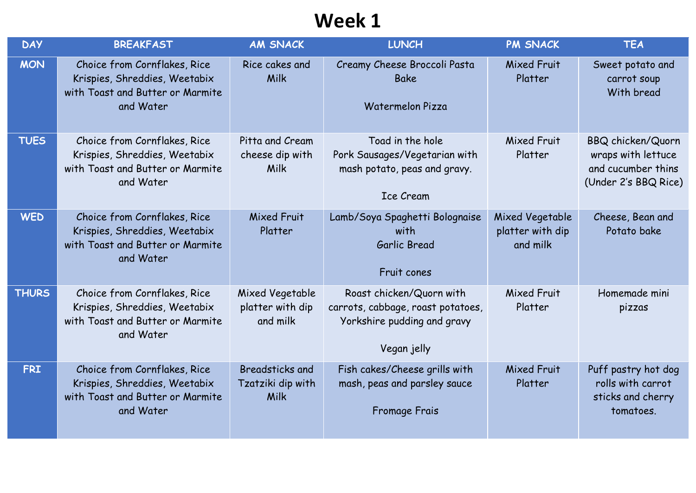| <b>DAY</b>   | <b>BREAKFAST</b>                                                                                               | <b>AM SNACK</b>                                     | <b>LUNCH</b>                                                                                                | <b>PM SNACK</b>                                 | <b>TEA</b>                                                                                   |
|--------------|----------------------------------------------------------------------------------------------------------------|-----------------------------------------------------|-------------------------------------------------------------------------------------------------------------|-------------------------------------------------|----------------------------------------------------------------------------------------------|
| <b>MON</b>   | Choice from Cornflakes, Rice<br>Krispies, Shreddies, Weetabix<br>with Toast and Butter or Marmite<br>and Water | Rice cakes and<br>Milk                              | Creamy Cheese Broccoli Pasta<br><b>Bake</b><br>Watermelon Pizza                                             | <b>Mixed Fruit</b><br>Platter                   | Sweet potato and<br>carrot soup<br>With bread                                                |
| <b>TUES</b>  | Choice from Cornflakes, Rice<br>Krispies, Shreddies, Weetabix<br>with Toast and Butter or Marmite<br>and Water | Pitta and Cream<br>cheese dip with<br>Milk          | Toad in the hole<br>Pork Sausages/Vegetarian with<br>mash potato, peas and gravy.<br><b>Ice Cream</b>       | Mixed Fruit<br>Platter                          | <b>BBQ chicken/Quorn</b><br>wraps with lettuce<br>and cucumber thins<br>(Under 2's BBQ Rice) |
| <b>WED</b>   | Choice from Cornflakes, Rice<br>Krispies, Shreddies, Weetabix<br>with Toast and Butter or Marmite<br>and Water | Mixed Fruit<br>Platter                              | Lamb/Soya Spaghetti Bolognaise<br>with<br>Garlic Bread<br>Fruit cones                                       | Mixed Vegetable<br>platter with dip<br>and milk | Cheese, Bean and<br>Potato bake                                                              |
| <b>THURS</b> | Choice from Cornflakes, Rice<br>Krispies, Shreddies, Weetabix<br>with Toast and Butter or Marmite<br>and Water | Mixed Vegetable<br>platter with dip<br>and milk     | Roast chicken/Quorn with<br>carrots, cabbage, roast potatoes,<br>Yorkshire pudding and gravy<br>Vegan jelly | Mixed Fruit<br>Platter                          | Homemade mini<br>pizzas                                                                      |
| <b>FRI</b>   | Choice from Cornflakes, Rice<br>Krispies, Shreddies, Weetabix<br>with Toast and Butter or Marmite<br>and Water | <b>Breadsticks and</b><br>Tzatziki dip with<br>Milk | Fish cakes/Cheese grills with<br>mash, peas and parsley sauce<br>Fromage Frais                              | Mixed Fruit<br>Platter                          | Puff pastry hot dog<br>rolls with carrot<br>sticks and cherry<br>tomatoes.                   |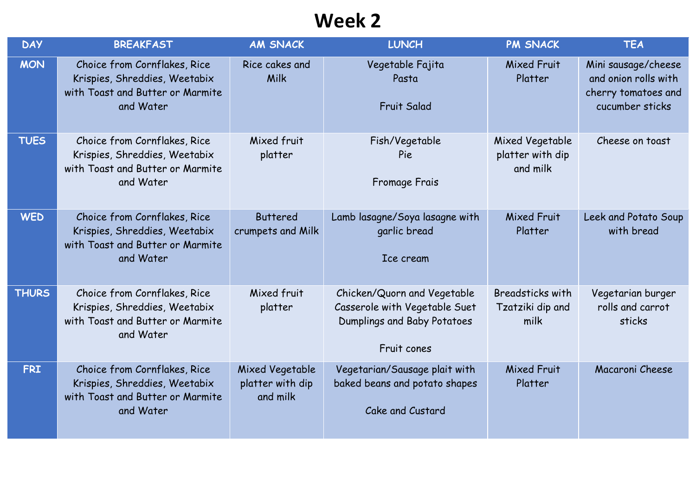| <b>DAY</b>   | <b>BREAKFAST</b>                                                                                               | <b>AM SNACK</b>                                 | <b>LUNCH</b>                                                                                               | <b>PM SNACK</b>                                 | <b>TEA</b>                                                                            |
|--------------|----------------------------------------------------------------------------------------------------------------|-------------------------------------------------|------------------------------------------------------------------------------------------------------------|-------------------------------------------------|---------------------------------------------------------------------------------------|
| <b>MON</b>   | Choice from Cornflakes, Rice<br>Krispies, Shreddies, Weetabix<br>with Toast and Butter or Marmite<br>and Water | Rice cakes and<br>Milk                          | Vegetable Fajita<br>Pasta<br><b>Fruit Salad</b>                                                            | <b>Mixed Fruit</b><br>Platter                   | Mini sausage/cheese<br>and onion rolls with<br>cherry tomatoes and<br>cucumber sticks |
| <b>TUES</b>  | Choice from Cornflakes, Rice<br>Krispies, Shreddies, Weetabix<br>with Toast and Butter or Marmite<br>and Water | Mixed fruit<br>platter                          | Fish/Vegetable<br>Pie<br>Fromage Frais                                                                     | Mixed Vegetable<br>platter with dip<br>and milk | Cheese on toast                                                                       |
| <b>WED</b>   | Choice from Cornflakes, Rice<br>Krispies, Shreddies, Weetabix<br>with Toast and Butter or Marmite<br>and Water | <b>Buttered</b><br>crumpets and Milk            | Lamb lasagne/Soya lasagne with<br>garlic bread<br>Ice cream                                                | <b>Mixed Fruit</b><br>Platter                   | Leek and Potato Soup<br>with bread                                                    |
| <b>THURS</b> | Choice from Cornflakes, Rice<br>Krispies, Shreddies, Weetabix<br>with Toast and Butter or Marmite<br>and Water | Mixed fruit<br>platter                          | Chicken/Quorn and Vegetable<br>Casserole with Vegetable Suet<br>Dumplings and Baby Potatoes<br>Fruit cones | Breadsticks with<br>Tzatziki dip and<br>milk    | Vegetarian burger<br>rolls and carrot<br>sticks                                       |
| <b>FRI</b>   | Choice from Cornflakes, Rice<br>Krispies, Shreddies, Weetabix<br>with Toast and Butter or Marmite<br>and Water | Mixed Vegetable<br>platter with dip<br>and milk | Vegetarian/Sausage plait with<br>baked beans and potato shapes<br>Cake and Custard                         | <b>Mixed Fruit</b><br>Platter                   | Macaroni Cheese                                                                       |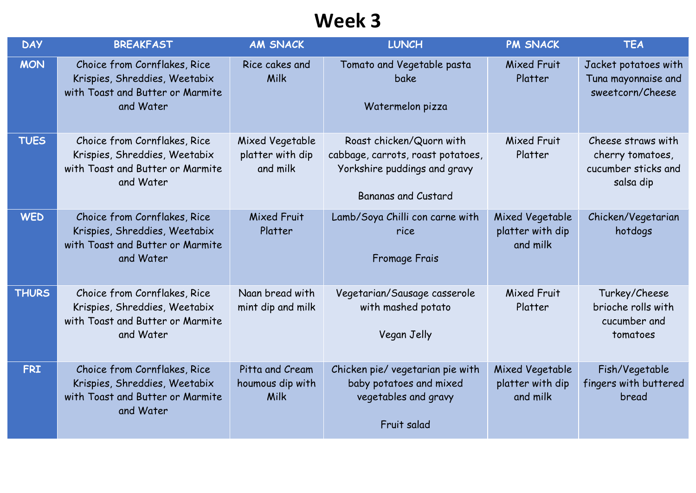| <b>DAY</b>   | <b>BREAKFAST</b>                                                                                               | <b>AM SNACK</b>                                 | <b>LUNCH</b>                                                                                                         | <b>PM SNACK</b>                                 | <b>TEA</b>                                                                 |
|--------------|----------------------------------------------------------------------------------------------------------------|-------------------------------------------------|----------------------------------------------------------------------------------------------------------------------|-------------------------------------------------|----------------------------------------------------------------------------|
| <b>MON</b>   | Choice from Cornflakes, Rice<br>Krispies, Shreddies, Weetabix<br>with Toast and Butter or Marmite<br>and Water | Rice cakes and<br>Milk                          | Tomato and Vegetable pasta<br><b>bake</b><br>Watermelon pizza                                                        | <b>Mixed Fruit</b><br>Platter                   | Jacket potatoes with<br>Tuna mayonnaise and<br>sweetcorn/Cheese            |
| <b>TUES</b>  | Choice from Cornflakes, Rice<br>Krispies, Shreddies, Weetabix<br>with Toast and Butter or Marmite<br>and Water | Mixed Vegetable<br>platter with dip<br>and milk | Roast chicken/Quorn with<br>cabbage, carrots, roast potatoes,<br>Yorkshire puddings and gravy<br>Bananas and Custard | Mixed Fruit<br>Platter                          | Cheese straws with<br>cherry tomatoes,<br>cucumber sticks and<br>salsa dip |
| <b>WED</b>   | Choice from Cornflakes, Rice<br>Krispies, Shreddies, Weetabix<br>with Toast and Butter or Marmite<br>and Water | <b>Mixed Fruit</b><br>Platter                   | Lamb/Soya Chilli con carne with<br>rice<br><b>Fromage Frais</b>                                                      | Mixed Vegetable<br>platter with dip<br>and milk | Chicken/Vegetarian<br>hotdogs                                              |
| <b>THURS</b> | Choice from Cornflakes, Rice<br>Krispies, Shreddies, Weetabix<br>with Toast and Butter or Marmite<br>and Water | Naan bread with<br>mint dip and milk            | Vegetarian/Sausage casserole<br>with mashed potato<br>Vegan Jelly                                                    | Mixed Fruit<br>Platter                          | Turkey/Cheese<br>brioche rolls with<br>cucumber and<br>tomatoes            |
| <b>FRI</b>   | Choice from Cornflakes, Rice<br>Krispies, Shreddies, Weetabix<br>with Toast and Butter or Marmite<br>and Water | Pitta and Cream<br>houmous dip with<br>Milk     | Chicken pie/ vegetarian pie with<br>baby potatoes and mixed<br>vegetables and gravy<br>Fruit salad                   | Mixed Vegetable<br>platter with dip<br>and milk | Fish/Vegetable<br>fingers with buttered<br>bread                           |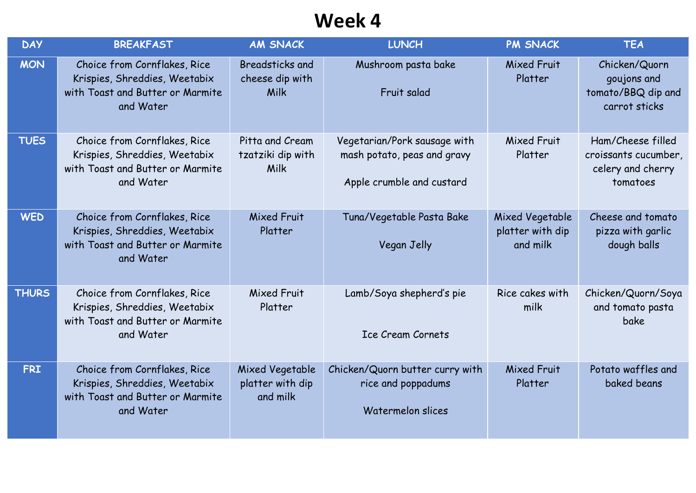| <b>DAY</b>   | <b>BREAKFAST</b>                                                                                               | <b>AM SNACK</b>                                   | <b>LUNCH</b>                                                                             | <b>PM SNACK</b>                                 | <b>TEA</b>                                                                 |
|--------------|----------------------------------------------------------------------------------------------------------------|---------------------------------------------------|------------------------------------------------------------------------------------------|-------------------------------------------------|----------------------------------------------------------------------------|
| <b>MON</b>   | Choice from Cornflakes, Rice<br>Krispies, Shreddies, Weetabix<br>with Toast and Butter or Marmite<br>and Water | <b>Breadsticks and</b><br>cheese dip with<br>Milk | Mushroom pasta bake<br>Fruit salad                                                       | Mixed Fruit<br>Platter                          | Chicken/Quorn<br>goujons and<br>tomato/BBQ dip and<br>carrot sticks        |
| <b>TUES</b>  | Choice from Cornflakes, Rice<br>Krispies, Shreddies, Weetabix<br>with Toast and Butter or Marmite<br>and Water | Pitta and Cream<br>tzatziki dip with<br>Milk      | Vegetarian/Pork sausage with<br>mash potato, peas and gravy<br>Apple crumble and custard | Mixed Fruit<br>Platter                          | Ham/Cheese filled<br>croissants cucumber,<br>celery and cherry<br>tomatoes |
| <b>WED</b>   | Choice from Cornflakes, Rice<br>Krispies, Shreddies, Weetabix<br>with Toast and Butter or Marmite<br>and Water | <b>Mixed Fruit</b><br>Platter                     | Tuna/Vegetable Pasta Bake<br>Vegan Jelly                                                 | Mixed Vegetable<br>platter with dip<br>and milk | Cheese and tomato<br>pizza with garlic<br>dough balls                      |
| <b>THURS</b> | Choice from Cornflakes, Rice<br>Krispies, Shreddies, Weetabix<br>with Toast and Butter or Marmite<br>and Water | Mixed Fruit<br>Platter                            | Lamb/Soya shepherd's pie<br><b>Ice Cream Cornets</b>                                     | Rice cakes with<br>milk                         | Chicken/Quorn/Soya<br>and tomato pasta<br>bake                             |
| <b>FRI</b>   | Choice from Cornflakes, Rice<br>Krispies, Shreddies, Weetabix<br>with Toast and Butter or Marmite<br>and Water | Mixed Vegetable<br>platter with dip<br>and milk   | Chicken/Quorn butter curry with<br>rice and poppadums<br>Watermelon slices               | Mixed Fruit<br>Platter                          | Potato waffles and<br>baked beans                                          |